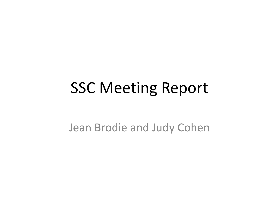#### **SSC Meeting Report**

Jean Brodie and Judy Cohen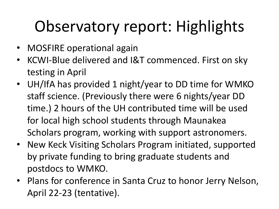## Observatory report: Highlights

- MOSFIRE operational again
- KCWI-Blue delivered and I&T commenced. First on sky testing in April
- UH/IfA has provided 1 night/year to DD time for WMKO staff science. (Previously there were 6 nights/year DD time.) 2 hours of the UH contributed time will be used for local high school students through Maunakea Scholars program, working with support astronomers.
- New Keck Visiting Scholars Program initiated, supported by private funding to bring graduate students and postdocs to WMKO.
- Plans for conference in Santa Cruz to honor Jerry Nelson, April 22-23 (tentative).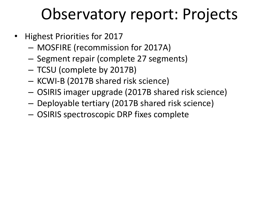#### Observatory report: Projects

- **Highest Priorities for 2017** 
	- MOSFIRE (recommission for 2017A)
	- $-$  Segment repair (complete 27 segments)
	- TCSU (complete by 2017B)
	- KCWI-B (2017B shared risk science)
	- OSIRIS imager upgrade (2017B shared risk science)
	- Deployable tertiary (2017B shared risk science)
	- $-$  OSIRIS spectroscopic DRP fixes complete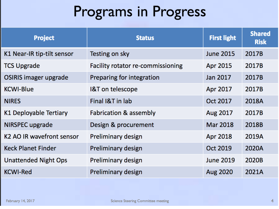#### Programs in Progress

| <b>Project</b>                        | <b>Status</b>                     | <b>First light</b> | <b>Shared</b><br><b>Risk</b> |
|---------------------------------------|-----------------------------------|--------------------|------------------------------|
| K1 Near-IR tip-tilt sensor            | Testing on sky                    | <b>June 2015</b>   | 2017B                        |
| <b>TCS Upgrade</b>                    | Facility rotator re-commissioning | Apr 2015           | 2017B                        |
| OSIRIS imager upgrade                 | Preparing for integration         | Jan 2017           | 2017B                        |
| <b>KCWI-Blue</b>                      | <b>I&amp;T</b> on telescope       | Apr 2017           | 2017B                        |
| <b>NIRES</b>                          | Final I&T in lab                  | Oct 2017           | 2018A                        |
| K1 Deployable Tertiary                | <b>Fabrication &amp; assembly</b> | Aug 2017           | 2017B                        |
| NIRSPEC upgrade                       | Design & procurement              | <b>Mar 2018</b>    | 2018B                        |
| K <sub>2</sub> AQ IR wavefront sensor | Preliminary design                | Apr 2018           | 2019A                        |
| <b>Keck Planet Finder</b>             | Preliminary design                | Oct 2019           | 2020A                        |
| <b>Unattended Night Ops</b>           | Preliminary design                | <b>June 2019</b>   | 2020B                        |
| <b>KCWI-Red</b>                       | Preliminary design                | Aug 2020           | 2021A                        |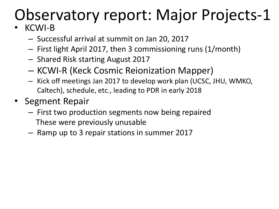# Observatory report: Major Projects-1

#### • KCWI-B

- $-$  Successful arrival at summit on Jan 20, 2017
- $-$  First light April 2017, then 3 commissioning runs (1/month)
- Shared Risk starting August 2017
- KCWI-R (Keck Cosmic Reionization Mapper)
- $-$  Kick off meetings Jan 2017 to develop work plan (UCSC, JHU, WMKO, Caltech), schedule, etc., leading to PDR in early 2018
- **Segment Repair** 
	- $-$  First two production segments now being repaired These were previously unusable
	- $-$  Ramp up to 3 repair stations in summer 2017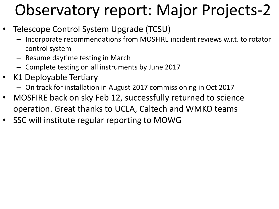#### Observatory report: Major Projects-2

- Telescope Control System Upgrade (TCSU)
	- Incorporate recommendations from MOSFIRE incident reviews w.r.t. to rotator control system
	- $-$  Resume daytime testing in March
	- Complete testing on all instruments by June 2017
- K1 Deployable Tertiary
	- On track for installation in August 2017 commissioning in Oct 2017
- MOSFIRE back on sky Feb 12, successfully returned to science operation. Great thanks to UCLA, Caltech and WMKO teams
- SSC will institute regular reporting to MOWG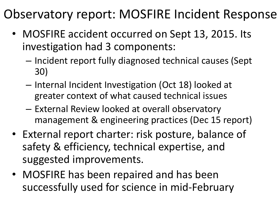#### Observatory report: MOSFIRE Incident Response

- MOSFIRE accident occurred on Sept 13, 2015. Its investigation had 3 components:
	- $-$  Incident report fully diagnosed technical causes (Sept 30)
	- $-$  Internal Incident Investigation (Oct 18) looked at greater context of what caused technical issues
	- External Review looked at overall observatory management & engineering practices (Dec 15 report)
- External report charter: risk posture, balance of safety & efficiency, technical expertise, and suggested improvements.
- MOSFIRE has been repaired and has been successfully used for science in mid-February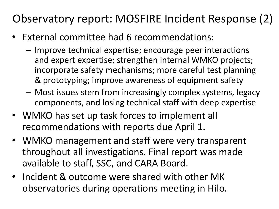#### Observatory report: MOSFIRE Incident Response (2)

- External committee had 6 recommendations:
	- $-$  Improve technical expertise; encourage peer interactions and expert expertise; strengthen internal WMKO projects; incorporate safety mechanisms; more careful test planning & prototyping; improve awareness of equipment safety
	- $-$  Most issues stem from increasingly complex systems, legacy components, and losing technical staff with deep expertise
- WMKO has set up task forces to implement all recommendations with reports due April 1.
- WMKO management and staff were very transparent throughout all investigations. Final report was made available to staff, SSC, and CARA Board.
- Incident & outcome were shared with other MK observatories during operations meeting in Hilo.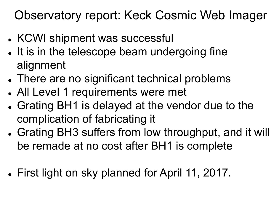#### Observatory report: Keck Cosmic Web Imager

- KCWI shipment was successful
- It is in the telescope beam undergoing fine alignment
- There are no significant technical problems
- All Level 1 requirements were met
- Grating BH1 is delayed at the vendor due to the complication of fabricating it
- Grating BH3 suffers from low throughput, and it will be remade at no cost after BH1 is complete
- First light on sky planned for April 11, 2017.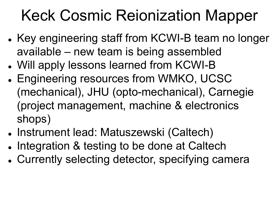#### Keck Cosmic Reionization Mapper

- Key engineering staff from KCWI-B team no longer available – new team is being assembled
- Will apply lessons learned from KCWI-B
- Engineering resources from WMKO, UCSC (mechanical), JHU (opto-mechanical), Carnegie (project management, machine & electronics shops)
- Instrument lead: Matuszewski (Caltech)
- Integration & testing to be done at Caltech
- Currently selecting detector, specifying camera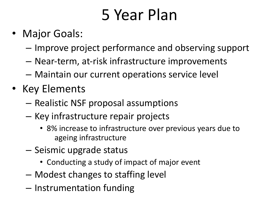#### 5 Year Plan

- Major Goals:
	- Improve project performance and observing support
	- $-$  Near-term, at-risk infrastructure improvements
	- $-$  Maintain our current operations service level
- Key Elements
	- $-$  Realistic NSF proposal assumptions
	- Key infrastructure repair projects
		- 8% increase to infrastructure over previous years due to ageing infrastructure
	- $-$  Seismic upgrade status
		- Conducting a study of impact of major event
	- $-$  Modest changes to staffing level
	- Instrumentation funding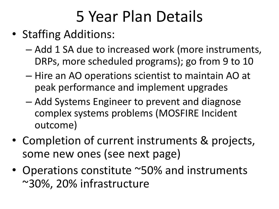### 5 Year Plan Details

- Staffing Additions:
	- Add 1 SA due to increased work (more instruments, DRPs, more scheduled programs); go from 9 to 10
	- $-$  Hire an AO operations scientist to maintain AO at peak performance and implement upgrades
	- Add Systems Engineer to prevent and diagnose complex systems problems (MOSFIRE Incident outcome)
- Completion of current instruments & projects, some new ones (see next page)
- Operations constitute ~50% and instruments ~30%, 20% infrastructure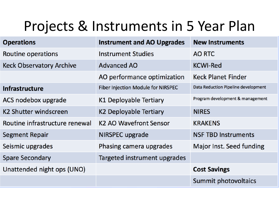#### Projects & Instruments in 5 Year Plan

| <b>Operations</b>               | <b>Instrument and AO Upgrades</b>         | <b>New Instruments</b>              |
|---------------------------------|-------------------------------------------|-------------------------------------|
| Routine operations              | <b>Instrument Studies</b>                 | <b>AO RTC</b>                       |
| <b>Keck Observatory Archive</b> | <b>Advanced AO</b>                        | <b>KCWI-Red</b>                     |
|                                 | AO performance optimization               | <b>Keck Planet Finder</b>           |
| <b>Infrastructure</b>           | <b>Fiber Injection Module for NIRSPEC</b> | Data Reduction Pipeline development |
| ACS nodebox upgrade             | K1 Deployable Tertiary                    | Program development & management    |
| K2 Shutter windscreen           | K2 Deployable Tertiary                    | <b>NIRES</b>                        |
| Routine infrastructure renewal  | K <sub>2</sub> AO Wavefront Sensor        | <b>KRAKENS</b>                      |
| <b>Segment Repair</b>           | NIRSPEC upgrade                           | <b>NSF TBD Instruments</b>          |
| Seismic upgrades                | Phasing camera upgrades                   | Major Inst. Seed funding            |
| <b>Spare Secondary</b>          | Targeted instrument upgrades              |                                     |
| Unattended night ops (UNO)      |                                           | <b>Cost Savings</b>                 |
|                                 |                                           | Summit photovoltaics                |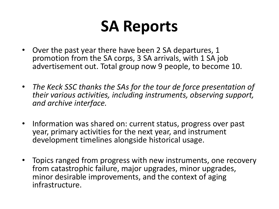#### **SA Reports**

- Over the past year there have been 2 SA departures, 1 promotion from the SA corps, 3 SA arrivals, with 1 SA job advertisement out. Total group now 9 people, to become 10.
- The Keck SSC thanks the SAs for the tour de force presentation of *their* various activities, including instruments, observing support, and archive interface.
- Information was shared on: current status, progress over past year, primary activities for the next year, and instrument development timelines alongside historical usage.
- Topics ranged from progress with new instruments, one recovery from catastrophic failure, major upgrades, minor upgrades, minor desirable improvements, and the context of aging infrastructure.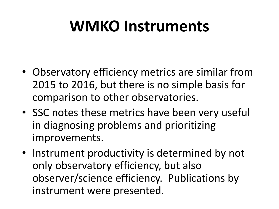#### **WMKO** Instruments

- Observatory efficiency metrics are similar from 2015 to 2016, but there is no simple basis for comparison to other observatories.
- SSC notes these metrics have been very useful in diagnosing problems and prioritizing improvements.
- Instrument productivity is determined by not only observatory efficiency, but also observer/science efficiency. Publications by instrument were presented.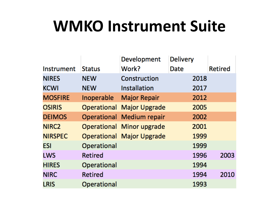#### **WMKO Instrument Suite**

|                   |               | Development                      | <b>Delivery</b> |         |
|-------------------|---------------|----------------------------------|-----------------|---------|
| Instrument        | <b>Status</b> | Work?                            | Date            | Retired |
| <b>NIRES</b>      | <b>NEW</b>    | Construction                     | 2018            |         |
| <b>KCWI</b>       | <b>NEW</b>    | Installation                     | 2017            |         |
| <b>MOSFIRE</b>    | Inoperable    | <b>Major Repair</b>              | 2012            |         |
| <b>OSIRIS</b>     |               | Operational Major Upgrade        | 2005            |         |
| <b>DEIMOS</b>     |               | Operational Medium repair        | 2002            |         |
| NIRC <sub>2</sub> |               | Operational Minor upgrade        | 2001            |         |
| <b>NIRSPEC</b>    |               | <b>Operational Major Upgrade</b> | 1999            |         |
| ESI               | Operational   |                                  | 1999            |         |
| <b>LWS</b>        | Retired       |                                  | 1996            | 2003    |
| <b>HIRES</b>      | Operational   |                                  | 1994            |         |
| <b>NIRC</b>       | Retired       |                                  | 1994            | 2010    |
| <b>LRIS</b>       | Operational   |                                  | 1993            |         |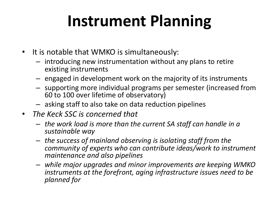## **Instrument Planning**

- It is notable that WMKO is simultaneously:
	- $-$  introducing new instrumentation without any plans to retire existing instruments
	- $-$  engaged in development work on the majority of its instruments
	- $-$  supporting more individual programs per semester (increased from 60 to 100 over lifetime of observatory)
	- $-$  asking staff to also take on data reduction pipelines
- *The Keck SSC is concerned that* 
	- $-$  the work load is more than the current SA staff can handle in a *sustainable way*
	- $-$  the success of mainland observing is isolating staff from the *community of experts who can contribute ideas/work to instrument maintenance and also pipelines*
	- $-$  while major upgrades and minor improvements are keeping WMKO *instruments at the forefront, aging infrastructure issues need to be planned for*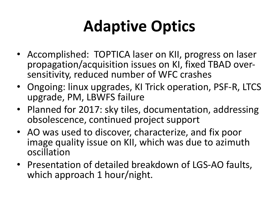## **Adaptive Optics**

- Accomplished: TOPTICA laser on KII, progress on laser propagation/acquisition issues on KI, fixed TBAD over-<br>sensitivity, reduced number of WFC crashes
- Ongoing: linux upgrades, KI Trick operation, PSF-R, LTCS upgrade, PM, LBWFS failure
- Planned for 2017: sky tiles, documentation, addressing obsolescence, continued project support
- AO was used to discover, characterize, and fix poor image quality issue on KII, which was due to azimuth oscillation
- Presentation of detailed breakdown of LGS-AO faults, which approach 1 hour/night.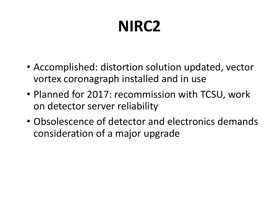# **NIRC2**

- Accomplished: distortion solution updated, vector vortex coronagraph installed and in use
- Planned for 2017: recommission with TCSU, work on detector server reliability
- Obsolescence of detector and electronics demands consideration of a major upgrade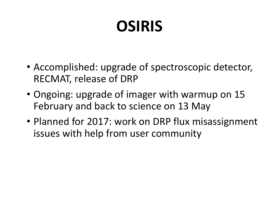# **OSIRIS**

- Accomplished: upgrade of spectroscopic detector, RECMAT, release of DRP
- Ongoing: upgrade of imager with warmup on 15 February and back to science on 13 May
- Planned for 2017: work on DRP flux misassignment issues with help from user community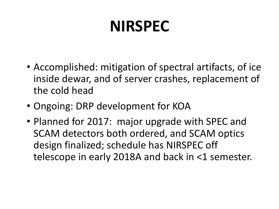#### **NIRSPEC**

- Accomplished: mitigation of spectral artifacts, of ice inside dewar, and of server crashes, replacement of the cold head
- Ongoing: DRP development for KOA
- Planned for 2017: major upgrade with SPEC and SCAM detectors both ordered, and SCAM optics design finalized; schedule has NIRSPEC off telescope in early 2018A and back in  $\leq$ 1 semester.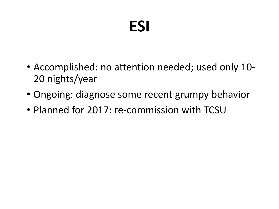#### **ESI**

- Accomplished: no attention needed; used only 10-20 nights/year
- Ongoing: diagnose some recent grumpy behavior
- Planned for 2017: re-commission with TCSU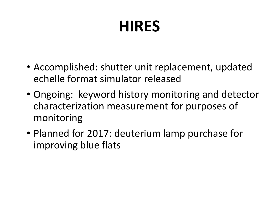## **HIRES**

- Accomplished: shutter unit replacement, updated echelle format simulator released
- Ongoing: keyword history monitoring and detector characterization measurement for purposes of monitoring
- Planned for 2017: deuterium lamp purchase for improving blue flats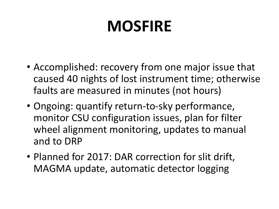#### **MOSFIRE**

- Accomplished: recovery from one major issue that caused 40 nights of lost instrument time; otherwise faults are measured in minutes (not hours)
- Ongoing: quantify return-to-sky performance, monitor CSU configuration issues, plan for filter wheel alignment monitoring, updates to manual and to DRP
- Planned for 2017: DAR correction for slit drift, MAGMA update, automatic detector logging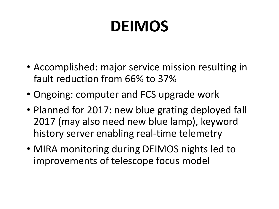## **DEIMOS**

- Accomplished: major service mission resulting in fault reduction from 66% to 37%
- Ongoing: computer and FCS upgrade work
- Planned for 2017: new blue grating deployed fall 2017 (may also need new blue lamp), keyword history server enabling real-time telemetry
- MIRA monitoring during DEIMOS nights led to improvements of telescope focus model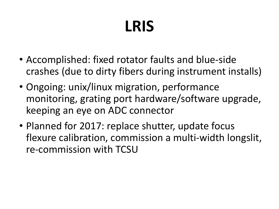## **LRIS**

- Accomplished: fixed rotator faults and blue-side crashes (due to dirty fibers during instrument installs)
- Ongoing: unix/linux migration, performance monitoring, grating port hardware/software upgrade, keeping an eye on ADC connector
- Planned for 2017: replace shutter, update focus flexure calibration, commission a multi-width longslit, re-commission with TCSU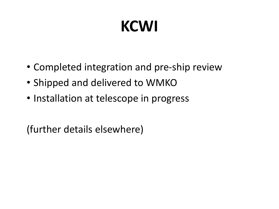# **KCWI**

- Completed integration and pre-ship review
- Shipped and delivered to WMKO
- Installation at telescope in progress

(further details elsewhere)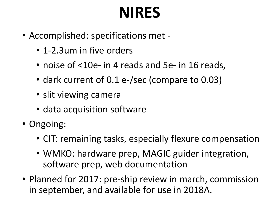#### **NIRES**

- Accomplished: specifications met -
	- 1-2.3um in five orders
	- noise of <10e- in 4 reads and 5e- in 16 reads,
	- dark current of 0.1 e-/sec (compare to 0.03)
	- slit viewing camera
	- data acquisition software
- Ongoing:
	- CIT: remaining tasks, especially flexure compensation
	- WMKO: hardware prep, MAGIC guider integration, software prep, web documentation
- Planned for 2017: pre-ship review in march, commission in september, and available for use in 2018A.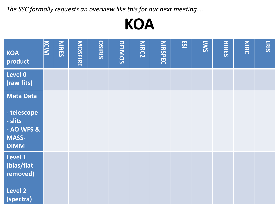The SSC formally requests an overview like this for our next meeting....



| <b>KOA</b><br>product             | KCWI | <b>NIRES</b> | <b>MOSFIRE</b> | <b>OSIRIS</b> | <b>DEIMOS</b> | <b>NIRC2</b> | <b>NIRSPEC</b> | <u>ES1</u> | <b>EWS</b> | <b>HIRES</b> | NIRC | LRIS |
|-----------------------------------|------|--------------|----------------|---------------|---------------|--------------|----------------|------------|------------|--------------|------|------|
| Level 0<br>(raw fits)             |      |              |                |               |               |              |                |            |            |              |      |      |
| <b>Meta Data</b>                  |      |              |                |               |               |              |                |            |            |              |      |      |
| - telescope<br>- slits            |      |              |                |               |               |              |                |            |            |              |      |      |
| - AO WFS &                        |      |              |                |               |               |              |                |            |            |              |      |      |
| <b>MASS-</b><br><b>DIMM</b>       |      |              |                |               |               |              |                |            |            |              |      |      |
| Level 1<br>(bias/flat<br>removed) |      |              |                |               |               |              |                |            |            |              |      |      |
| Level 2<br>(spectra)              |      |              |                |               |               |              |                |            |            |              |      |      |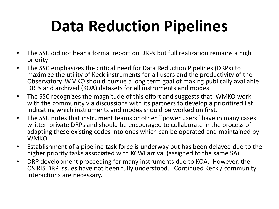## **Data Reduction Pipelines**

- The SSC did not hear a formal report on DRPs but full realization remains a high priority
- The SSC emphasizes the critical need for Data Reduction Pipelines (DRPs) to maximize the utility of Keck instruments for all users and the productivity of the Observatory. WMKO should pursue a long term goal of making publically available DRPs and archived (KOA) datasets for all instruments and modes.
- The SSC recognizes the magnitude of this effort and suggests that WMKO work with the community via discussions with its partners to develop a prioritized list indicating which instruments and modes should be worked on first.
- The SSC notes that instrument teams or other ``power users" have in many cases written private DRPs and should be encouraged to collaborate in the process of adapting these existing codes into ones which can be operated and maintained by WMKO.
- Establishment of a pipeline task force is underway but has been delayed due to the higher priority tasks associated with KCWI arrival (assigned to the same SA).
- DRP development proceeding for many instruments due to KOA. However, the OSIRIS DRP issues have not been fully understood. Continued Keck / community interactions are necessary.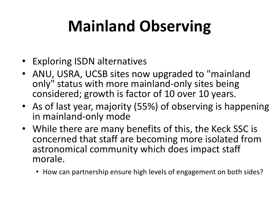# **Mainland Observing**

- Exploring ISDN alternatives
- ANU, USRA, UCSB sites now upgraded to "mainland only" status with more mainland-only sites being considered; growth is factor of 10 over 10 years.
- As of last year, majority (55%) of observing is happening in mainland-only mode
- While there are many benefits of this, the Keck SSC is concerned that staff are becoming more isolated from astronomical community which does impact staff morale.
	- How can partnership ensure high levels of engagement on both sides?